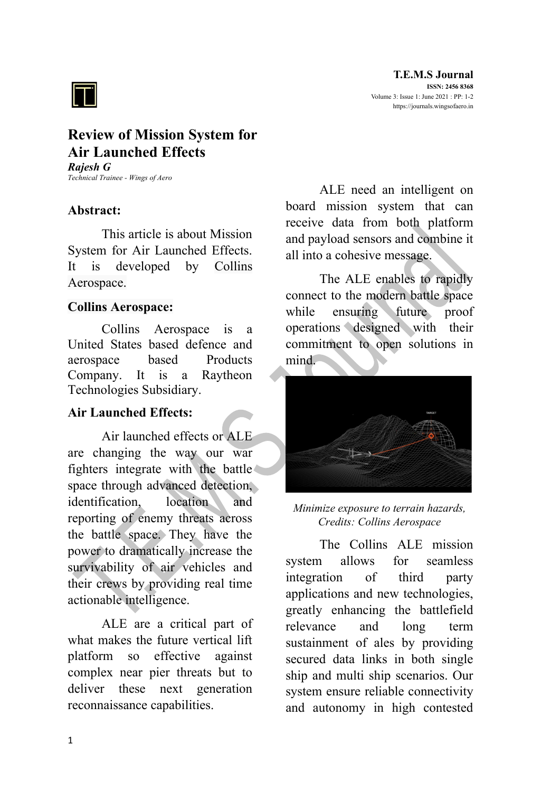

# **Review of Mission System for Air Launched Effects**

*Rajesh G Technical Trainee - Wings of Aero*

### **Abstract:**

This article is about Mission System for Air Launched Effects. It is developed by Collins Aerospace.

#### **Collins Aerospace:**

Collins Aerospace is a United States based defence and aerospace based Products Company. It is a Raytheon Technologies Subsidiary.

# **Air Launched Effects:**

Air launched effects or ALE are changing the way our war fighters integrate with the battle space through advanced detection, identification, location and reporting of enemy threats across the battle space. They have the power to dramatically increase the survivability of air vehicles and their crews by providing real time actionable intelligence.

ALE are a critical part of what makes the future vertical lift platform so effective against complex near pier threats but to deliver these next generation reconnaissance capabilities.

ALE need an intelligent on board mission system that can receive data from both platform and payload sensors and combine it all into a cohesive message.

The ALE enables to rapidly connect to the modern battle space while ensuring future proof operations designed with their commitment to open solutions in mind.



*Minimize exposure to terrain hazards, Credits: Collins Aerospace*

The Collins ALE mission system allows for seamless integration of third party applications and new technologies, greatly enhancing the battlefield relevance and long term sustainment of ales by providing secured data links in both single ship and multi ship scenarios. Our system ensure reliable connectivity and autonomy in high contested